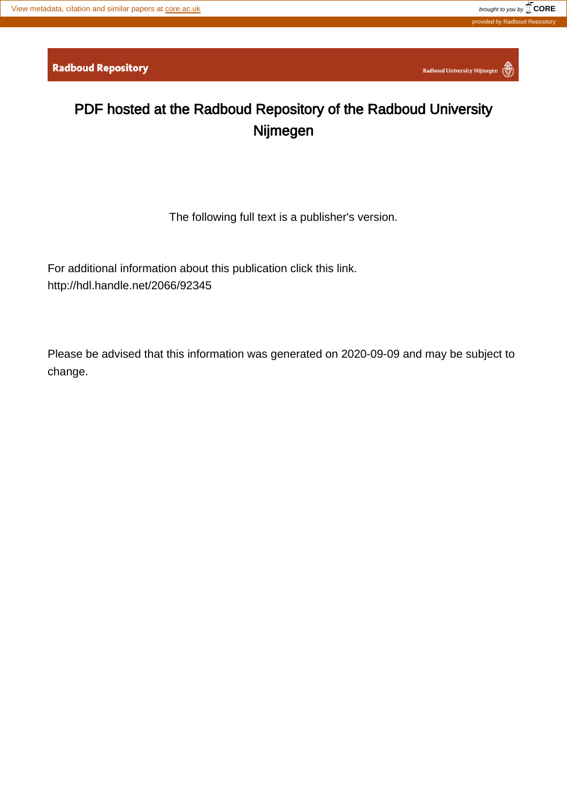Radboud University Nijmegen

# PDF hosted at the Radboud Repository of the Radboud University Nijmegen

The following full text is a publisher's version.

For additional information about this publication click this link. <http://hdl.handle.net/2066/92345>

Please be advised that this information was generated on 2020-09-09 and may be subject to change.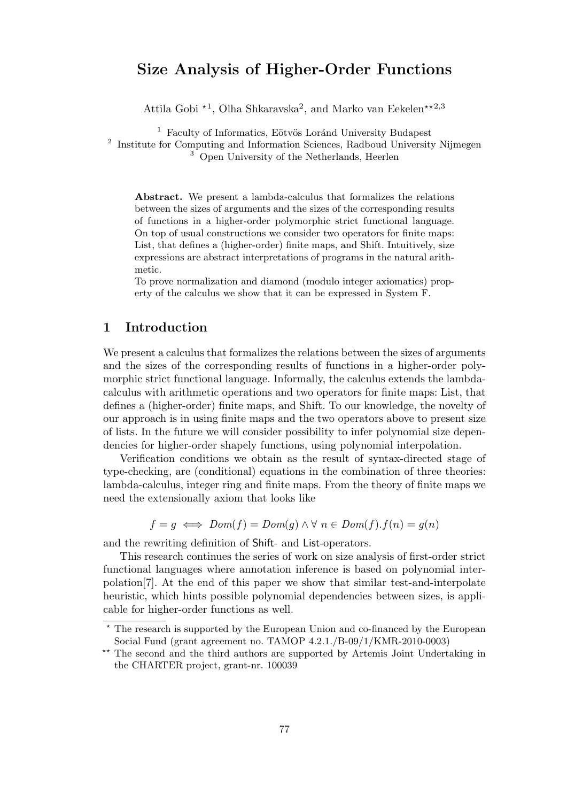## Size Analysis of Higher-Order Functions

Attila Gobi<sup>\*1</sup>, Olha Shkaravska<sup>2</sup>, and Marko van Eekelen<sup>\*\*2,3</sup>

 $1$  Faculty of Informatics, Eötvös Loránd University Budapest <sup>2</sup> Institute for Computing and Information Sciences, Radboud University Nijmegen <sup>3</sup> Open University of the Netherlands, Heerlen

Abstract. We present a lambda-calculus that formalizes the relations between the sizes of arguments and the sizes of the corresponding results of functions in a higher-order polymorphic strict functional language. On top of usual constructions we consider two operators for finite maps: List, that defines a (higher-order) finite maps, and Shift. Intuitively, size expressions are abstract interpretations of programs in the natural arithmetic.

To prove normalization and diamond (modulo integer axiomatics) property of the calculus we show that it can be expressed in System F.

## 1 Introduction

We present a calculus that formalizes the relations between the sizes of arguments and the sizes of the corresponding results of functions in a higher-order polymorphic strict functional language. Informally, the calculus extends the lambdacalculus with arithmetic operations and two operators for finite maps: List, that defines a (higher-order) finite maps, and Shift. To our knowledge, the novelty of our approach is in using finite maps and the two operators above to present size of lists. In the future we will consider possibility to infer polynomial size dependencies for higher-order shapely functions, using polynomial interpolation.

Verification conditions we obtain as the result of syntax-directed stage of type-checking, are (conditional) equations in the combination of three theories: lambda-calculus, integer ring and finite maps. From the theory of finite maps we need the extensionally axiom that looks like

$$
f = g \iff Dom(f) = Dom(g) \land \forall n \in Dom(f). f(n) = g(n)
$$

and the rewriting definition of Shift- and List-operators.

This research continues the series of work on size analysis of first-order strict functional languages where annotation inference is based on polynomial interpolation[7]. At the end of this paper we show that similar test-and-interpolate heuristic, which hints possible polynomial dependencies between sizes, is applicable for higher-order functions as well.

<sup>?</sup> The research is supported by the European Union and co-financed by the European Social Fund (grant agreement no. TAMOP 4.2.1./B-09/1/KMR-2010-0003)

<sup>\*\*</sup> The second and the third authors are supported by Artemis Joint Undertaking in the CHARTER project, grant-nr. 100039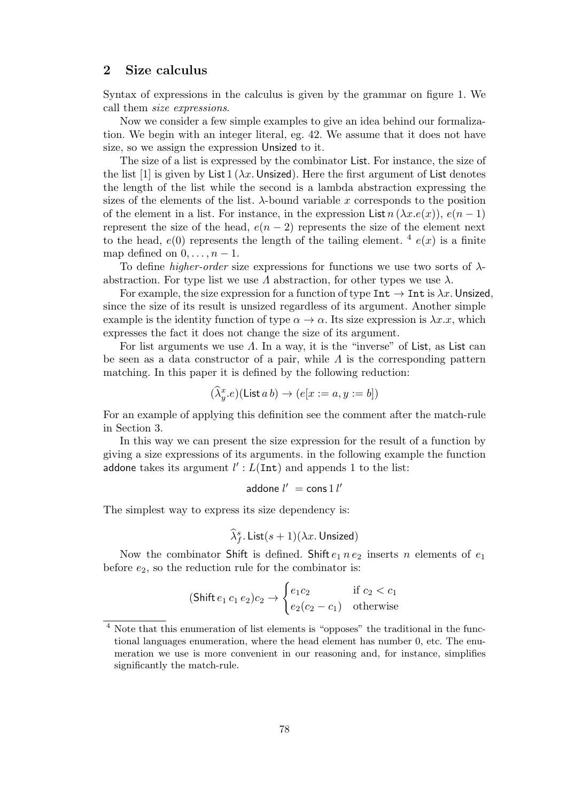## 2 Size calculus

Syntax of expressions in the calculus is given by the grammar on figure 1. We call them size expressions.

Now we consider a few simple examples to give an idea behind our formalization. We begin with an integer literal, eg. 42. We assume that it does not have size, so we assign the expression Unsized to it.

The size of a list is expressed by the combinator List. For instance, the size of the list [1] is given by List 1 ( $\lambda x$ . Unsized). Here the first argument of List denotes the length of the list while the second is a lambda abstraction expressing the sizes of the elements of the list.  $\lambda$ -bound variable x corresponds to the position of the element in a list. For instance, in the expression List  $n (\lambda x.e(x))$ ,  $e(n-1)$ represent the size of the head,  $e(n-2)$  represents the size of the element next to the head,  $e(0)$  represents the length of the tailing element. <sup>4</sup>  $e(x)$  is a finite map defined on  $0, \ldots, n-1$ .

To define *higher-order* size expressions for functions we use two sorts of  $\lambda$ abstraction. For type list we use  $\Lambda$  abstraction, for other types we use  $\lambda$ .

For example, the size expression for a function of type  $\text{Int} \to \text{Int}$  is  $\lambda x$ . Unsized, since the size of its result is unsized regardless of its argument. Another simple example is the identity function of type  $\alpha \to \alpha$ . Its size expression is  $\lambda x.x$ , which expresses the fact it does not change the size of its argument.

For list arguments we use  $\Lambda$ . In a way, it is the "inverse" of List, as List can be seen as a data constructor of a pair, while  $\Lambda$  is the corresponding pattern matching. In this paper it is defined by the following reduction:

$$
(\widehat{\lambda}_y^x.e)(\textsf{List }a b) \to (e[x := a, y := b])
$$

For an example of applying this definition see the comment after the match-rule in Section 3.

In this way we can present the size expression for the result of a function by giving a size expressions of its arguments. in the following example the function addone takes its argument  $l'$ :  $L(\text{Int})$  and appends 1 to the list:

addone 
$$
l' = \text{cons } 1 l'
$$

The simplest way to express its size dependency is:

$$
\widehat{\lambda}_{f}^{s}.\text{List}(s+1)(\lambda x.\text{Unsized})
$$

Now the combinator Shift is defined. Shift  $e_1 n e_2$  inserts n elements of  $e_1$ before  $e_2$ , so the reduction rule for the combinator is:

$$
(\text{Shift } e_1 \ c_1 \ e_2)c_2 \rightarrow \begin{cases} e_1c_2 & \text{if } c_2 < c_1 \\ e_2(c_2 - c_1) & \text{otherwise} \end{cases}
$$

Note that this enumeration of list elements is "opposes" the traditional in the functional languages enumeration, where the head element has number 0, etc. The enumeration we use is more convenient in our reasoning and, for instance, simplifies significantly the match-rule.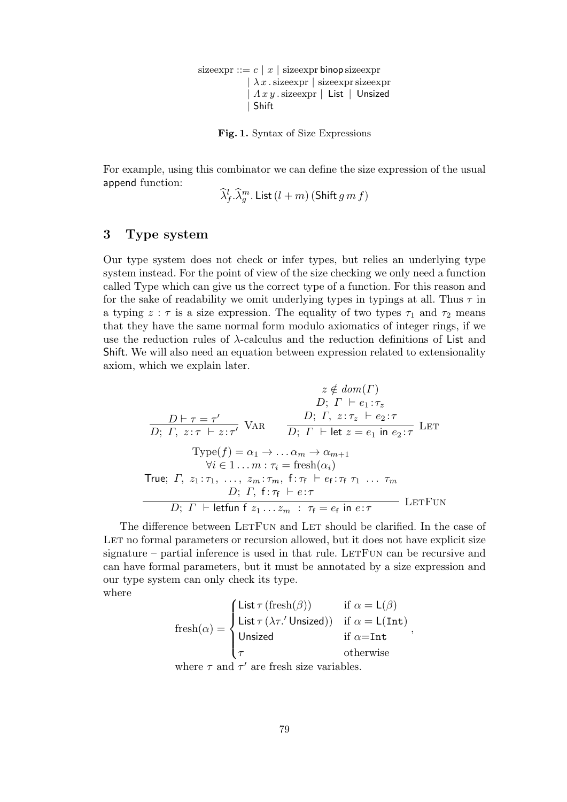sizeexpr ::=  $c | x |$  sizeexpr binop sizeexpr  $\vert \lambda x$  . sizeexpr  $\vert$  sizeexpr sizeexpr  $\Lambda x y$  sizeexpr | List | Unsized | Shift

Fig. 1. Syntax of Size Expressions

For example, using this combinator we can define the size expression of the usual append function:

 $(\widehat{\lambda}^l_f.\widehat{\lambda}^m_g.$  List  $(l+m)$  (Shift  $g\,m\,f)$ 

## 3 Type system

Our type system does not check or infer types, but relies an underlying type system instead. For the point of view of the size checking we only need a function called Type which can give us the correct type of a function. For this reason and for the sake of readability we omit underlying types in typings at all. Thus  $\tau$  in a typing  $z : \tau$  is a size expression. The equality of two types  $\tau_1$  and  $\tau_2$  means that they have the same normal form modulo axiomatics of integer rings, if we use the reduction rules of  $\lambda$ -calculus and the reduction definitions of List and Shift. We will also need an equation between expression related to extensionality axiom, which we explain later.

$$
z \notin dom(\Gamma)
$$
  
\n
$$
D; \Gamma \vdash e_1 : \tau_z
$$
  
\n
$$
\overline{D; \Gamma, z : \tau \vdash z : \tau'}
$$
 VAR 
$$
\overline{D; \Gamma, z : \tau_z \vdash e_2 : \tau}
$$
  
\n
$$
\text{Type}(f) = \alpha_1 \rightarrow \dots \alpha_m \rightarrow \alpha_{m+1}
$$
  
\n
$$
\forall i \in 1 \dots m : \tau_i = \text{fresh}(\alpha_i)
$$
  
\n
$$
\text{True; } \Gamma, z_1 : \tau_1, \dots, z_m : \tau_m, \ f : \tau_f \vdash e_f : \tau_f \tau_1 \dots \tau_m
$$
  
\n
$$
D; \ \Gamma, \ f : \tau_f \vdash e : \tau
$$
  
\n
$$
D; \ \Gamma \vdash \text{leftun } f z_1 \dots z_m : \ \tau_f = e_f \text{ in } e : \tau
$$
  
\nLET

The difference between LETFUN and LET should be clarified. In the case of LET no formal parameters or recursion allowed, but it does not have explicit size signature – partial inference is used in that rule. LETFUN can be recursive and can have formal parameters, but it must be annotated by a size expression and our type system can only check its type. where

$$
\text{fresh}(\alpha) = \begin{cases} \text{List }\tau \text{ ( fresh}(\beta)) & \text{if } \alpha = \mathsf{L}(\beta) \\ \text{List }\tau \text{ (\lambda \tau.' Unsized)}) & \text{if } \alpha = \mathsf{L}(\text{Int}) \\ \text{Unsized} & \text{if } \alpha = \text{Int} \\ \tau & \text{otherwise} \end{cases},
$$
\nwhere  $\tau$  and  $\tau'$  are fresh size variables.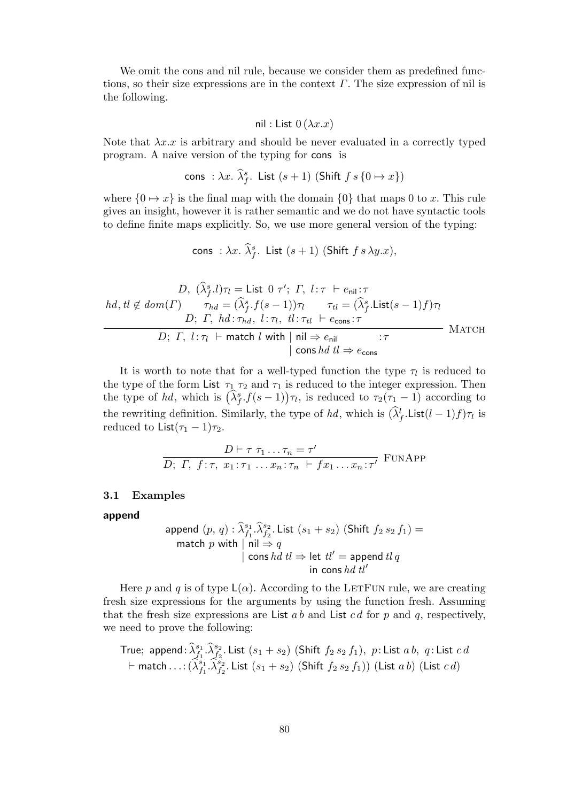We omit the cons and nil rule, because we consider them as predefined functions, so their size expressions are in the context  $\Gamma$ . The size expression of nil is the following.

$$
\mathsf{nil} : \mathsf{List}\;0\,(\lambda x.x)
$$

Note that  $\lambda x.x$  is arbitrary and should be never evaluated in a correctly typed program. A naive version of the typing for cons is

cons: 
$$
\lambda x. \widehat{\lambda}_f^s
$$
. List  $(s+1)$  (Shift  $f s \{0 \mapsto x\}$ )

where  $\{0 \mapsto x\}$  is the final map with the domain  $\{0\}$  that maps 0 to x. This rule gives an insight, however it is rather semantic and we do not have syntactic tools to define finite maps explicitly. So, we use more general version of the typing:

cons :  $\lambda x$ .  $\widehat{\lambda}_{f}^{s}$ . List  $(s+1)$  (Shift  $f s \lambda y.x$ ),

$$
D, \ (\widehat{\lambda}_{f}^{s}.l)\tau_{l} = \text{List } 0 \ \tau'; \ \Gamma, \ l: \tau \ \vdash e_{\text{nil}}: \tau
$$
\n
$$
hd, tl \notin dom(\Gamma) \qquad \tau_{hd} = (\widehat{\lambda}_{f}^{s}.f(s-1))\tau_{l} \qquad \tau_{tl} = (\widehat{\lambda}_{f}^{s}.\text{List}(s-1)f)\tau_{l}
$$
\n
$$
D; \ \Gamma, \ hd: \tau_{hd}, \ l: \tau_{l}, \ tl: \tau_{tl} \ \vdash e_{\text{cons}}: \tau
$$
\n
$$
D; \ \Gamma, \ l: \tau_{l} \ \vdash \ \text{match } l \ \text{with} \ || \ \text{nil} \Rightarrow e_{\text{nil}} \qquad : \tau
$$
\n
$$
|\ \text{cons } hd \ t \mathbb{l} \Rightarrow e_{\text{cons}} \qquad \qquad \text{MATCH}
$$

It is worth to note that for a well-typed function the type  $\tau_l$  is reduced to the type of the form List  $\tau_1$   $\tau_2$  and  $\tau_1$  is reduced to the integer expression. Then the type of hd, which is  $(\hat{\lambda}_{f}^{s} f(s-1))\tau_l$ , is reduced to  $\tau_2(\tau_1 - 1)$  according to the rewriting definition. Similarly, the type of hd, which is  $(\lambda_f^l$ . List $(l-1)f$ ) $\tau_l$  is reduced to List $(\tau_1 - 1)\tau_2$ .

$$
\frac{D \vdash \tau \tau_1 \dots \tau_n = \tau'}{D; \Gamma, f: \tau, x_1 : \tau_1 \dots x_n : \tau_n \vdash fx_1 \dots x_n : \tau'} \text{FunAPP}
$$

#### 3.1 Examples

#### append

append 
$$
(p, q) : \widehat{\lambda}_{f_1}^{s_1} \cdot \widehat{\lambda}_{f_2}^{s_2}
$$
. List  $(s_1 + s_2)$  (Shift  $f_2 s_2 f_1$ ) =  $\text{match } p$  with  $|\text{ nil} \Rightarrow q$   $|\text{ cons } hd \text{ } tl \Rightarrow \text{ let } tl' = \text{append } tl q$   $\text{ in } \text{ cons } hd \text{ } tl'$ 

Here p and q is of type  $\mathsf{L}(\alpha)$ . According to the LETFUN rule, we are creating fresh size expressions for the arguments by using the function fresh. Assuming that the fresh size expressions are List  $a b$  and List  $c d$  for  $p$  and  $q$ , respectively, we need to prove the following:

True; append: 
$$
\widehat{\lambda}_{f_1}^{s_1} \widehat{\lambda}_{f_2}^{s_2}
$$
. List  $(s_1 + s_2)$  (Shift  $f_2 s_2 f_1$ ), p: List a b, q: List c d  
\n $\vdash$  match...:  $(\widehat{\lambda}_{f_1}^{s_1} \widehat{\lambda}_{f_2}^{s_2}$ . List  $(s_1 + s_2)$  (Shift  $f_2 s_2 f_1$ )) (List a b) (List c d)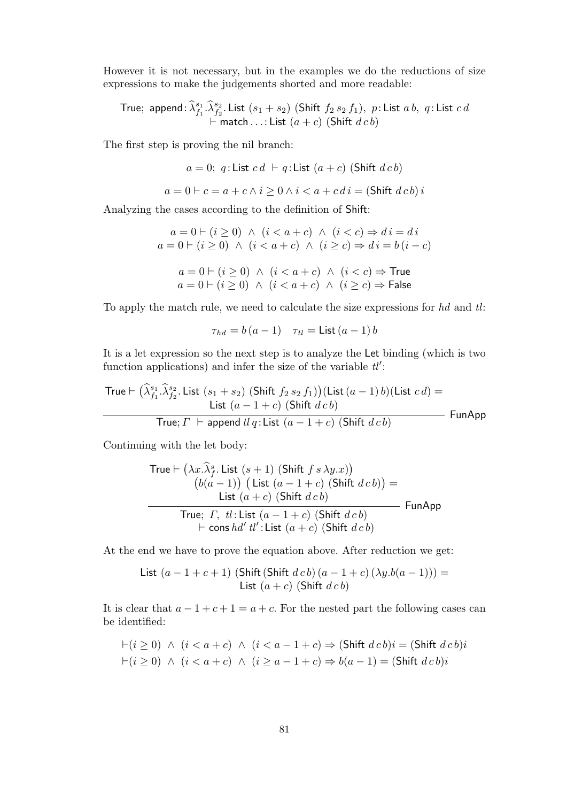However it is not necessary, but in the examples we do the reductions of size expressions to make the judgements shorted and more readable:

True; append: 
$$
\widehat{\lambda}_{f_1}^{s_1} \cdot \widehat{\lambda}_{f_2}^{s_2}
$$
. List  $(s_1 + s_2)$  (Shift  $f_2 s_2 f_1$ ), p: List a b, q: List c d  
+ match...List  $(a + c)$  (Shift d c b)

The first step is proving the nil branch:

$$
a = 0; q: List cd \vdash q: List (a + c) (Shift dcb)
$$

$$
a = 0 \vdash c = a + c \land i \ge 0 \land i < a + c \, di = (\text{Shift } d \, cb) \, i
$$

Analyzing the cases according to the definition of Shift:

$$
a = 0 \rvert (i \ge 0) \land (i < a + c) \land (i < c) \Rightarrow di = di
$$
  
\n
$$
a = 0 \rvert (i \ge 0) \land (i < a + c) \land (i \ge c) \Rightarrow di = b(i - c)
$$
  
\n
$$
a = 0 \rvert (i \ge 0) \land (i < a + c) \land (i < c) \Rightarrow \text{True}
$$

$$
a=0 \vdash (i \geq 0) \ \land \ (i < a + c) \ \land \ (i \geq c) \Rightarrow \mathsf{False}
$$

To apply the match rule, we need to calculate the size expressions for  $hd$  and  $tl$ :

$$
\tau_{hd} = b\left(a - 1\right) \quad \tau_{tl} = \mathsf{List}\left(a - 1\right)b
$$

It is a let expression so the next step is to analyze the Let binding (which is two function applications) and infer the size of the variable  $tl'$ :

$$
\begin{array}{ll}\n\text{True} \vdash (\widehat{\lambda}_{f_1}^{s_1}.\widehat{\lambda}_{f_2}^{s_2}.\text{ List } (s_1 + s_2) \text{ (Shift } f_2 s_2 f_1)) \text{ (List } (a - 1) b) \text{ (List } c \, d) = \\
\hline\n\text{List } (a - 1 + c) \text{ (Shift } d \, c \, b)} \\
\hline\n\text{True; } \Gamma \vdash \text{append } tl \, q:\text{List } (a - 1 + c) \text{ (Shift } d \, c \, b)}\n\end{array}\n\quad \text{FunAppend}
$$

Continuing with the let body:

$$
\begin{aligned}\n\text{True} &\vdash \left(\lambda x.\widehat{\lambda}_{f}^{s}.\text{ List }(s+1)\right)\left(\text{Shift }f\ s\ \lambda y.x\right) \\
&\quad \left(b(a-1)\right)\left(\text{List }(a-1+c)\right)\left(\text{Shift }d\ c\ b\right) \\
&\quad \text{True; } \Gamma,\ \text{tl: List }(a-1+c)\right)\left(\text{Shift }d\ c\ b\right) \\
&\quad \text{True; } \Gamma,\ \text{tl: List }(a-1+c)\right)\left(\text{Shift }d\ c\ b\right) \\
&\quad \text{+ cons }hd'\ \text{tl': List }(a+c)\left(\text{Shift }d\ c\ b\right)\n\end{aligned}
$$

At the end we have to prove the equation above. After reduction we get:

List 
$$
(a-1+c+1)
$$
 (Shift (Shift  $dcb$ )  $(a-1+c)$   $(\lambda y.b(a-1))) =$   
List  $(a+c)$  (Shift  $dcb$ )

It is clear that  $a - 1 + c + 1 = a + c$ . For the nested part the following cases can be identified:

$$
\vdash (i \ge 0) \land (i < a + c) \land (i < a - 1 + c) \Rightarrow (\text{Shift } d \, c \, b)i = (\text{Shift } d \, c \, b)i
$$
\n
$$
\vdash (i \ge 0) \land (i < a + c) \land (i \ge a - 1 + c) \Rightarrow b(a - 1) = (\text{Shift } d \, c \, b)i
$$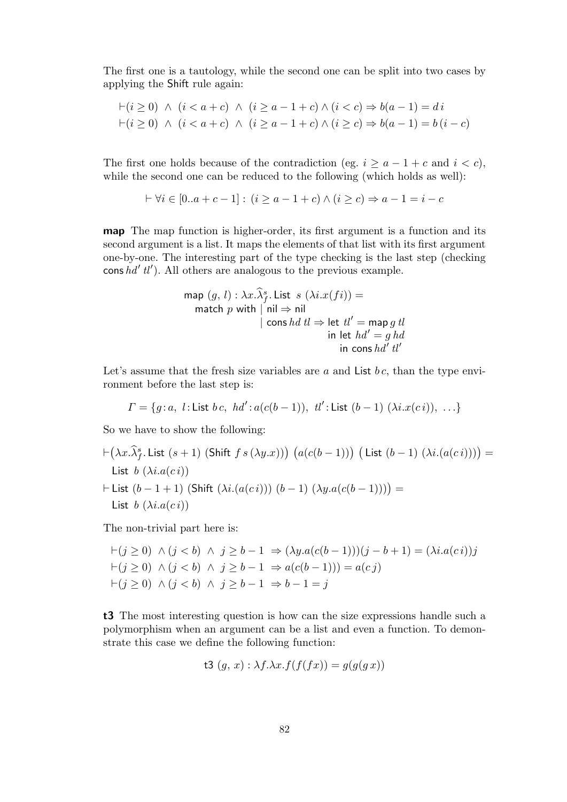The first one is a tautology, while the second one can be split into two cases by applying the Shift rule again:

$$
\vdash (i \geq 0) \land (i < a + c) \land (i \geq a - 1 + c) \land (i < c) \Rightarrow b(a - 1) = di
$$
\n
$$
\vdash (i \geq 0) \land (i < a + c) \land (i \geq a - 1 + c) \land (i \geq c) \Rightarrow b(a - 1) = b(i - c)
$$

The first one holds because of the contradiction (eg.  $i \ge a-1+c$  and  $i < c$ ), while the second one can be reduced to the following (which holds as well):

$$
\vdash \forall i \in [0..a+c-1]: (i \ge a-1+c) \land (i \ge c) \Rightarrow a-1 = i-c
$$

map The map function is higher-order, its first argument is a function and its second argument is a list. It maps the elements of that list with its first argument one-by-one. The interesting part of the type checking is the last step (checking cons  $hd'$  tl'). All others are analogous to the previous example.

$$
\begin{array}{ll}\n\text{map } (g, l) : \lambda x. \lambda_f^s. \text{ List } s \ (\lambda i. x (fi)) = \\
\text{match } p \text{ with } | \text{ nil} \Rightarrow \text{nil} \\
& | \text{ cons } hd \text{ } tl \Rightarrow \text{ let } tl' = \text{map } g \text{ } tl \\
& \text{ in } \text{ let } hd' = g \text{ } hd \\
& \text{ in } \text{ cons } hd' \text{ } tl'\n\end{array}
$$

Let's assume that the fresh size variables are  $a$  and List  $bc$ , than the type environment before the last step is:

$$
\Gamma = \{g: a, l: \text{List } b \, c, \ h d' : a(c(b-1)), \ tl' : \text{List } (b-1) (\lambda i. x(ci)), \ \ldots \}
$$

So we have to show the following:

 $\vdash (\lambda x. \widehat{\lambda}^s_f.$  List  $(s + 1)$  (Shift  $f s (\lambda y.x))$ )  $\big(a(c(b - 1))\big)$   $\big(\textsf{List }(b - 1) (\lambda i.(a(c i))))\big) =$ List  $b(\lambda i.a(c i))$  $\vdash$  List  $(b - 1 + 1)$  (Shift  $(λi.(a(c i))) (b - 1) (\lambda y.a(c(b - 1))))$ ) = List  $b(\lambda i.a(c i))$ 

The non-trivial part here is:

$$
\vdash (j \ge 0) \land (j < b) \land j \ge b - 1 \Rightarrow (\lambda y.a(c(b-1)))(j - b + 1) = (\lambda i.a(ci))j
$$
\n
$$
\vdash (j \ge 0) \land (j < b) \land j \ge b - 1 \Rightarrow a(c(b-1))) = a(cj)
$$
\n
$$
\vdash (j \ge 0) \land (j < b) \land j \ge b - 1 \Rightarrow b - 1 = j
$$

t3 The most interesting question is how can the size expressions handle such a polymorphism when an argument can be a list and even a function. To demonstrate this case we define the following function:

$$
t3(g, x): \lambda f. \lambda x. f(f(fx)) = g(g(gx))
$$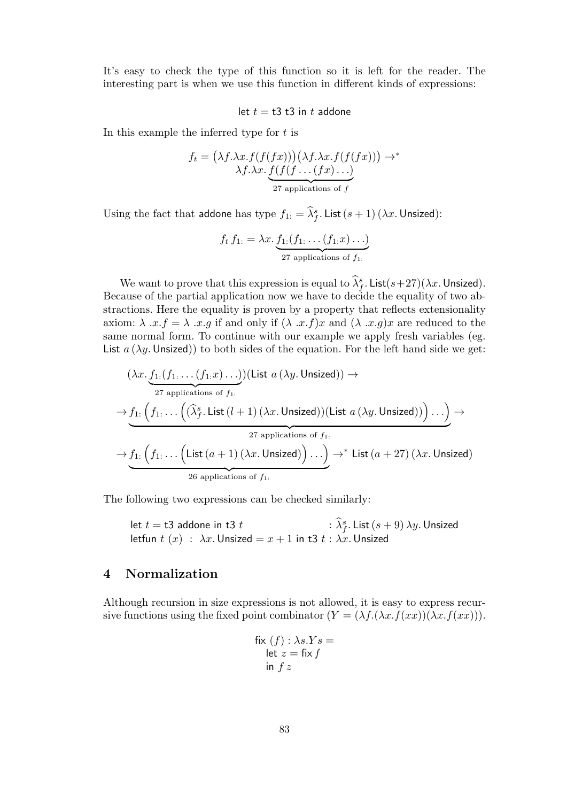It's easy to check the type of this function so it is left for the reader. The interesting part is when we use this function in different kinds of expressions:

#### let  $t = t3$  t3 in t addone

In this example the inferred type for  $t$  is

$$
f_t = (\lambda f. \lambda x. f(f(fx))) (\lambda f. \lambda x. f(f(fx))) \rightarrow^*
$$
  

$$
\lambda f. \lambda x. \underbrace{f(f(f \dots (fx) \dots)}_{27 \text{ applications of } f}
$$

Using the fact that addone has type  $f_{1:} = \hat{\lambda}_f^s$ . List  $(s + 1) (\lambda x)$ . Unsized):

$$
f_t f_{1:} = \lambda x. \underbrace{f_{1:}(f_{1:} \dots (f_{1:} x) \dots)}_{27 \text{ applications of } f_{1:}}
$$

We want to prove that this expression is equal to  $\hat{\lambda}_f^s$ . List $(s+27)(\lambda x$ . Unsized). Because of the partial application now we have to decide the equality of two abstractions. Here the equality is proven by a property that reflects extensionality axiom:  $\lambda$  .x.f =  $\lambda$  .x.g if and only if  $(\lambda x.f)x$  and  $(\lambda x.g)x$  are reduced to the same normal form. To continue with our example we apply fresh variables (eg. List  $a(\lambda y)$ . Unsized) to both sides of the equation. For the left hand side we get:

$$
(\lambda x.\underbrace{f_1:(f_1.\dots (f_1.x)\dots)}_{27 \text{ applications of } f_1.})(\text{List } a(\lambda y.\text{Unsized})) \rightarrow
$$
\n
$$
\rightarrow \underbrace{f_1.\left(f_1.\dots \left((\hat{\lambda}_f^s.\text{List } (l+1) (\lambda x.\text{Unsized}))(\text{List } a(\lambda y.\text{Unsized}))\right)\dots\right)}_{27 \text{ applications of } f_1.} \rightarrow \underbrace{f_1.\left(f_1.\dots \left(\text{List } (a+1) (\lambda x.\text{Unsized})\right)\dots\right)}_{26 \text{ applications of } f_1.} \rightarrow^* \text{List } (a+27) (\lambda x.\text{Unsized})
$$

The following two expressions can be checked similarly:

let 
$$
t = t3
$$
 addone in t3  $t$   
\nlet  $t(x) : \lambda x$ . Unsized  
\nlet  $t(x) : \lambda x$ . Unsized  $= x + 1$  in t3  $t : \lambda x$ . Unsized

## 4 Normalization

Although recursion in size expressions is not allowed, it is easy to express recursive functions using the fixed point combinator  $(Y = (\lambda f.(\lambda x.f(xx))(\lambda x.f(xx))).$ 

$$
\begin{aligned} \text{fix}(f) : \lambda s.Ys &= \\ \text{let } z &= \text{fix } f \\ \text{in } f z \end{aligned}
$$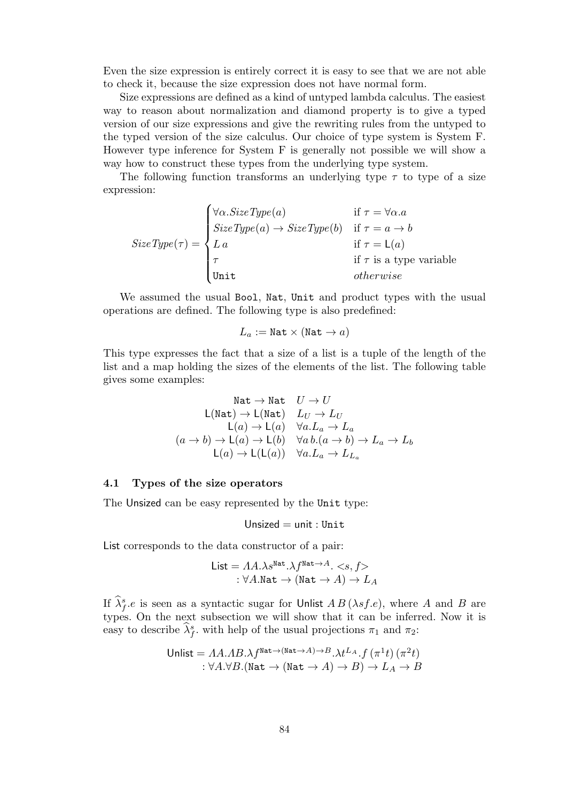Even the size expression is entirely correct it is easy to see that we are not able to check it, because the size expression does not have normal form.

Size expressions are defined as a kind of untyped lambda calculus. The easiest way to reason about normalization and diamond property is to give a typed version of our size expressions and give the rewriting rules from the untyped to the typed version of the size calculus. Our choice of type system is System F. However type inference for System F is generally not possible we will show a way how to construct these types from the underlying type system.

The following function transforms an underlying type  $\tau$  to type of a size expression:

$$
SizeType(\tau) = \begin{cases} \forall \alpha \text{.} SizeType(a) & \text{if } \tau = \forall \alpha \text{.} a \\ SizeType(a) \rightarrow SizeType(b) & \text{if } \tau = a \rightarrow b \\ La & \text{if } \tau = \mathsf{L}(a) \\ \tau & \text{if } \tau \text{ is a type variable} \\ \text{Unit} & otherwise \end{cases}
$$

We assumed the usual Bool, Nat, Unit and product types with the usual operations are defined. The following type is also predefined:

$$
L_a := \mathtt{Nat} \times (\mathtt{Nat} \to a)
$$

This type expresses the fact that a size of a list is a tuple of the length of the list and a map holding the sizes of the elements of the list. The following table gives some examples:

$$
\begin{array}{rl} \mathtt{Nat} \to \mathtt{Nat} & U \to U \\ \mathtt{L}(\mathtt{Nat}) \to \mathtt{L}(\mathtt{Nat}) & L_U \to L_U \\ \mathtt{L}(a) \to \mathtt{L}(a) & \forall a.L_a \to L_a \\ (a \to b) \to \mathtt{L}(a) \to \mathtt{L}(b) & \forall a.b.(a \to b) \to L_a \to L_b \\ \mathtt{L}(a) \to \mathtt{L}(\mathtt{L}(a)) & \forall a.L_a \to L_{L_a} \end{array}
$$

#### 4.1 Types of the size operators

The Unsized can be easy represented by the Unit type:

$$
\mathsf{Unsized} = \mathsf{unit} : \mathsf{Unit}
$$

List corresponds to the data constructor of a pair:

List = 
$$
AA.\lambda s^{\text{Nat}}.\lambda f^{\text{Nat}\rightarrow A}.\langle s, f \rangle
$$
  
:  $\forall A.\text{Nat} \rightarrow (\text{Nat} \rightarrow A) \rightarrow L_A$ 

If  $\hat{\lambda}_{f}^{s}$  is seen as a syntactic sugar for Unlist  $AB(\lambda sf.e)$ , where A and B are types. On the next subsection we will show that it can be inferred. Now it is easy to describe  $\hat{\lambda}_{f}^{s}$ , with help of the usual projections  $\pi_1$  and  $\pi_2$ :

$$
\begin{aligned} \text{Unlist} &= A A. A B. \lambda f^{\text{Nat} \to (\text{Nat} \to A) \to B} . \lambda t^{L_A} . f \left( \pi^1 t \right) \left( \pi^2 t \right) \\ &: \forall A. \forall B. (\text{Nat} \to (\text{Nat} \to A) \to B) \to L_A \to B \end{aligned}
$$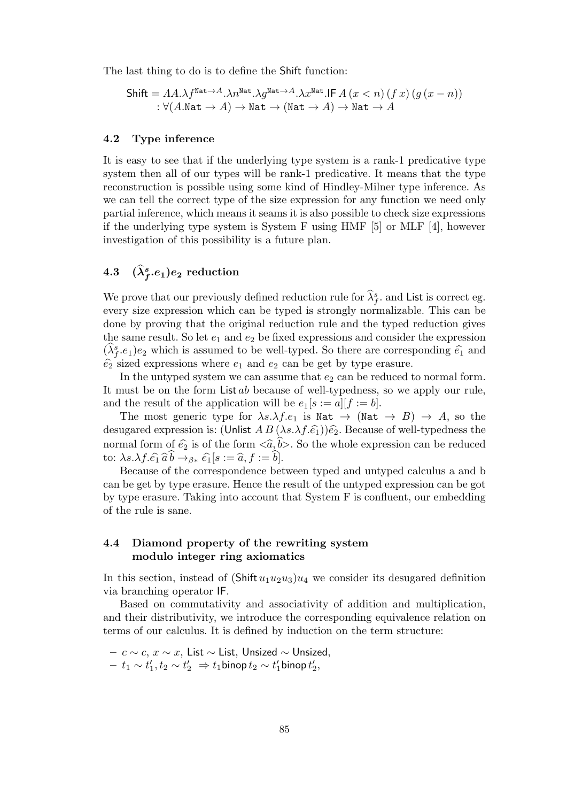The last thing to do is to define the Shift function:

Shift = 
$$
AA.\lambda f^{\text{Nat}\rightarrow A}.\lambda n^{\text{Nat}\rightarrow A}.\lambda g^{\text{Nat}\rightarrow A}.\lambda x^{\text{Nat}}.\text{IF } A (x < n) (f x) (g (x - n))
$$
  
:  $\forall (A.\text{Nat} \rightarrow A) \rightarrow \text{Nat} \rightarrow (\text{Nat} \rightarrow A) \rightarrow \text{Nat} \rightarrow A$ 

#### 4.2 Type inference

It is easy to see that if the underlying type system is a rank-1 predicative type system then all of our types will be rank-1 predicative. It means that the type reconstruction is possible using some kind of Hindley-Milner type inference. As we can tell the correct type of the size expression for any function we need only partial inference, which means it seams it is also possible to check size expressions if the underlying type system is System F using HMF [5] or MLF [4], however investigation of this possibility is a future plan.

## 4.3  $(\lambda_f^s.e_1)e_2$  reduction

We prove that our previously defined reduction rule for  $\hat{\lambda}_{f}^{s}$ , and List is correct eg. every size expression which can be typed is strongly normalizable. This can be done by proving that the original reduction rule and the typed reduction gives the same result. So let  $e_1$  and  $e_2$  be fixed expressions and consider the expression  $(\hat{\lambda}_{f}^{s}.e_{1})e_{2}$  which is assumed to be well-typed. So there are corresponding  $\hat{e}_{1}$  and  $\widehat{e}_2$  sized expressions where  $e_1$  and  $e_2$  can be get by type erasure.

In the untyped system we can assume that  $e_2$  can be reduced to normal form. It must be on the form List ab because of well-typedness, so we apply our rule, and the result of the application will be  $e_1[s := a][f := b]$ .

The most generic type for  $\lambda s.\lambda f.e_1$  is Nat  $\rightarrow$  (Nat  $\rightarrow$  B)  $\rightarrow$  A, so the desugared expression is: (Unlist  $AB(\lambda s.\lambda f.\hat{e}_1)\hat{e}_2$ . Because of well-typedness the normal form of  $\hat{e}_2$  is of the form  $\langle \hat{a}, \hat{b} \rangle$ . So the whole expression can be reduced to:  $\lambda s.\lambda f.\hat{e_1} \hat{a} b \rightarrow_{\beta *} \hat{e_1} [s := \hat{a}, f := b].$ 

Because of the correspondence between typed and untyped calculus a and b can be get by type erasure. Hence the result of the untyped expression can be got by type erasure. Taking into account that System F is confluent, our embedding of the rule is sane.

### 4.4 Diamond property of the rewriting system modulo integer ring axiomatics

In this section, instead of  $(Shift u_1 u_2 u_3)u_4$  we consider its desugared definition via branching operator IF.

Based on commutativity and associativity of addition and multiplication, and their distributivity, we introduce the corresponding equivalence relation on terms of our calculus. It is defined by induction on the term structure:

- $c \sim c$ ,  $x \sim x$ , List  $\sim$  List, Unsized  $\sim$  Unsized,
- $t_1 \sim t'_1, t_2 \sim t'_2 \Rightarrow t_1$ binop  $t_2 \sim t'_1$ binop  $t'_2$ ,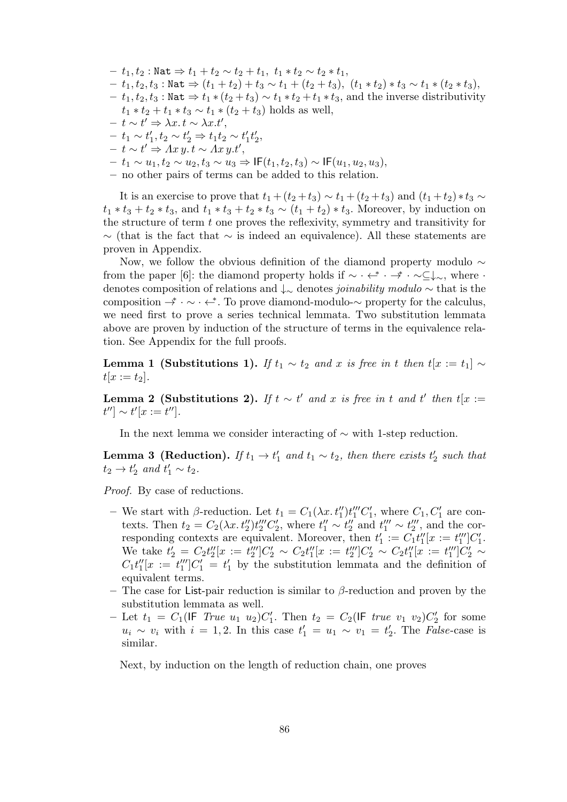- $t_1, t_2$ : Nat  $\Rightarrow t_1 + t_2 \sim t_2 + t_1, t_1 * t_2 \sim t_2 * t_1,$
- $-t_1, t_2, t_3:$  Nat  $\Rightarrow$   $(t_1 + t_2) + t_3 \sim t_1 + (t_2 + t_3), (t_1 * t_2) * t_3 \sim t_1 * (t_2 * t_3),$
- $-t_1, t_2, t_3:$  Nat  $\Rightarrow t_1 * (t_2 + t_3) \sim t_1 * t_2 + t_1 * t_3$ , and the inverse distributivity  $t_1 * t_2 + t_1 * t_3 \sim t_1 * (t_2 + t_3)$  holds as well,
- $t \sim t' \Rightarrow \lambda x. t \sim \lambda x. t',$
- $t_1 \sim t'_1, t_2 \sim t'_2 \Rightarrow t_1 t_2 \sim t'_1 t'_2,$
- $t \sim t' \Rightarrow Ax \, y. t \sim Ax \, y. t',$
- $t_1 \sim u_1, t_2 \sim u_2, t_3 \sim u_3 \Rightarrow \text{IF}(t_1, t_2, t_3) \sim \text{IF}(u_1, u_2, u_3),$
- no other pairs of terms can be added to this relation.

It is an exercise to prove that  $t_1 + (t_2 + t_3) \sim t_1 + (t_2 + t_3)$  and  $(t_1 + t_2) * t_3 \sim$  $t_1 * t_3 + t_2 * t_3$ , and  $t_1 * t_3 + t_2 * t_3 \sim (t_1 + t_2) * t_3$ . Moreover, by induction on the structure of term  $t$  one proves the reflexivity, symmetry and transitivity for  $\sim$  (that is the fact that  $\sim$  is indeed an equivalence). All these statements are proven in Appendix.

Now, we follow the obvious definition of the diamond property modulo ∼ from the paper [6]: the diamond property holds if  $\sim \cdot \cdot \cdot \cdot \cdot \cdot \cdot \sim \subseteq \downarrow_{\sim}$ , where  $\cdot$ denotes composition of relations and ↓<sup>∼</sup> denotes joinability modulo ∼ that is the composition  $\rightarrow^* \cdot \sim \cdot \leftarrow^*$ . To prove diamond-modulo- $\sim$  property for the calculus, we need first to prove a series technical lemmata. Two substitution lemmata above are proven by induction of the structure of terms in the equivalence relation. See Appendix for the full proofs.

**Lemma 1 (Substitutions 1).** If  $t_1 \sim t_2$  and x is free in t then  $t[x := t_1] \sim$  $t[x := t_2].$ 

**Lemma 2 (Substitutions 2).** If  $t \sim t'$  and x is free in t and t' then  $t[x :=$  $t''] \sim t'[x := t'']$ .

In the next lemma we consider interacting of  $\sim$  with 1-step reduction.

**Lemma 3** (Reduction). If  $t_1 \rightarrow t'_1$  and  $t_1 \sim t_2$ , then there exists  $t'_2$  such that  $t_2 \rightarrow t'_2$  and  $t'_1 \sim t_2$ .

Proof. By case of reductions.

- We start with  $\beta$ -reduction. Let  $t_1 = C_1(\lambda x. t_1'')t_1'''C_1'$ , where  $C_1, C_1'$  are contexts. Then  $t_2 = C_2(\lambda x. t_2'')t_2'''C_2'$ , where  $t_1'' \sim t_2''$  and  $t_1''' \sim t_2'''$ , and the corresponding contexts are equivalent. Moreover, then  $t'_1 := C_1 t''_1[x := t'''_1]C'_1$ . We take  $t_2' = C_2 t_2'' [x := t_2'''] C_2' \sim C_2 t_1'' [x := t_2'''] C_2' \sim C_2 t_1'' [x := t_1'''] C_2' \sim$  $C_1t_1''[x := t_1''']C_1' = t_1'$  by the substitution lemmata and the definition of equivalent terms.
- The case for List-pair reduction is similar to β-reduction and proven by the substitution lemmata as well.
- Let  $t_1 = C_1(\text{IF True } u_1 \ u_2)C_1'.$  Then  $t_2 = C_2(\text{IF true } v_1 \ v_2)C_2'$  for some  $u_i \sim v_i$  with  $i = 1, 2$ . In this case  $t'_1 = u_1 \sim v_1 = t'_2$ . The *False*-case is similar.

Next, by induction on the length of reduction chain, one proves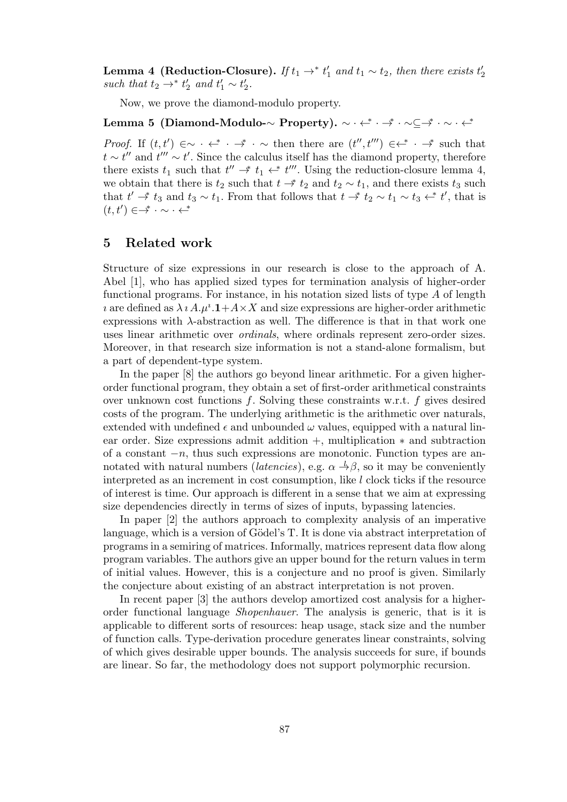**Lemma 4 (Reduction-Closure).** If  $t_1 \rightarrow^* t'_1$  and  $t_1 \sim t_2$ , then there exists  $t'_2$ such that  $t_2 \rightarrow^* t'_2$  and  $t'_1 \sim t'_2$ .

Now, we prove the diamond-modulo property.

## Lemma 5 (Diamond-Modulo-∼ Property). ∼ ∙ ←\* ∙ →\* ∙ ∼⊆→\* ∙ ∼ ∙ ←\*

*Proof.* If  $(t, t') \in \sim \cdots \iff \sim \text{then there are } (t'', t''') \in \leftrightarrow \cdots$  such that  $t \sim t''$  and  $t''' \sim t'$ . Since the calculus itself has the diamond property, therefore there exists  $t_1$  such that  $t'' \stackrel{*}{\rightharpoonup} t_1 \stackrel{*}{\rightharpoonup} t'''$ . Using the reduction-closure lemma 4, we obtain that there is  $t_2$  such that  $t \rightarrow t_2$  and  $t_2 \sim t_1$ , and there exists  $t_3$  such that  $t' \stackrel{*}{\rightharpoonup} t_3$  and  $t_3 \sim t_1$ . From that follows that  $t \stackrel{*}{\rightharpoonup} t_2 \sim t_1 \sim t_3 \stackrel{*}{\rightharpoonup} t'$ , that is  $(t, t') \in \rightarrow^* \cdot \sim \cdot \leftarrow^*$ 

## 5 Related work

Structure of size expressions in our research is close to the approach of A. Abel [1], who has applied sized types for termination analysis of higher-order functional programs. For instance, in his notation sized lists of type A of length *i* are defined as  $\lambda i A. \mu^{i} \cdot \mathbf{1} + A \times X$  and size expressions are higher-order arithmetic expressions with λ-abstraction as well. The difference is that in that work one uses linear arithmetic over ordinals, where ordinals represent zero-order sizes. Moreover, in that research size information is not a stand-alone formalism, but a part of dependent-type system.

In the paper [8] the authors go beyond linear arithmetic. For a given higherorder functional program, they obtain a set of first-order arithmetical constraints over unknown cost functions f. Solving these constraints w.r.t. f gives desired costs of the program. The underlying arithmetic is the arithmetic over naturals, extended with undefined  $\epsilon$  and unbounded  $\omega$  values, equipped with a natural linear order. Size expressions admit addition +, multiplication ∗ and subtraction of a constant  $-n$ , thus such expressions are monotonic. Function types are annotated with natural numbers (*latencies*), e.g.  $\alpha \rightarrow \beta$ , so it may be conveniently interpreted as an increment in cost consumption, like  $l$  clock ticks if the resource of interest is time. Our approach is different in a sense that we aim at expressing size dependencies directly in terms of sizes of inputs, bypassing latencies.

In paper [2] the authors approach to complexity analysis of an imperative language, which is a version of Gödel's T. It is done via abstract interpretation of programs in a semiring of matrices. Informally, matrices represent data flow along program variables. The authors give an upper bound for the return values in term of initial values. However, this is a conjecture and no proof is given. Similarly the conjecture about existing of an abstract interpretation is not proven.

In recent paper [3] the authors develop amortized cost analysis for a higherorder functional language Shopenhauer. The analysis is generic, that is it is applicable to different sorts of resources: heap usage, stack size and the number of function calls. Type-derivation procedure generates linear constraints, solving of which gives desirable upper bounds. The analysis succeeds for sure, if bounds are linear. So far, the methodology does not support polymorphic recursion.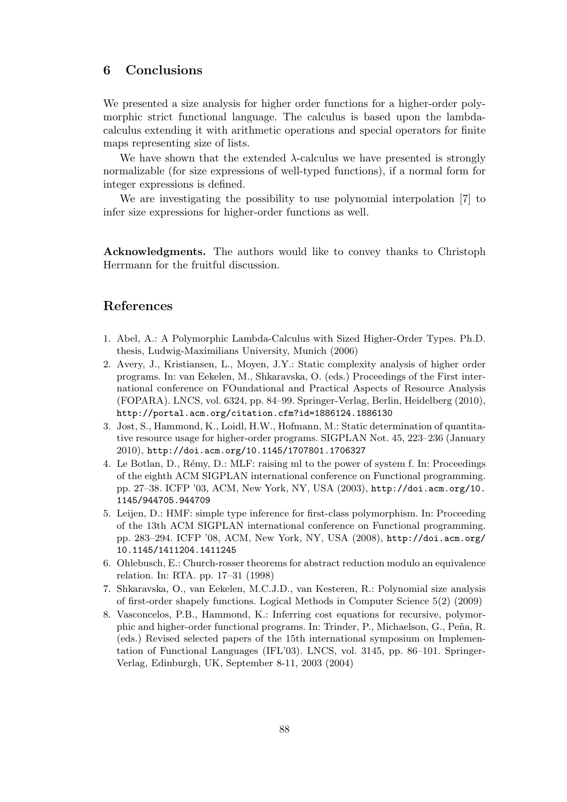## 6 Conclusions

We presented a size analysis for higher order functions for a higher-order polymorphic strict functional language. The calculus is based upon the lambdacalculus extending it with arithmetic operations and special operators for finite maps representing size of lists.

We have shown that the extended  $\lambda$ -calculus we have presented is strongly normalizable (for size expressions of well-typed functions), if a normal form for integer expressions is defined.

We are investigating the possibility to use polynomial interpolation [7] to infer size expressions for higher-order functions as well.

Acknowledgments. The authors would like to convey thanks to Christoph Herrmann for the fruitful discussion.

## References

- 1. Abel, A.: A Polymorphic Lambda-Calculus with Sized Higher-Order Types. Ph.D. thesis, Ludwig-Maximilians University, Munich (2006)
- 2. Avery, J., Kristiansen, L., Moyen, J.Y.: Static complexity analysis of higher order programs. In: van Eekelen, M., Shkaravska, O. (eds.) Proceedings of the First international conference on FOundational and Practical Aspects of Resource Analysis (FOPARA). LNCS, vol. 6324, pp. 84–99. Springer-Verlag, Berlin, Heidelberg (2010), http://portal.acm.org/citation.cfm?id=1886124.1886130
- 3. Jost, S., Hammond, K., Loidl, H.W., Hofmann, M.: Static determination of quantitative resource usage for higher-order programs. SIGPLAN Not. 45, 223–236 (January 2010), http://doi.acm.org/10.1145/1707801.1706327
- 4. Le Botlan, D., Rémy, D.: MLF: raising ml to the power of system f. In: Proceedings of the eighth ACM SIGPLAN international conference on Functional programming. pp. 27–38. ICFP '03, ACM, New York, NY, USA (2003), http://doi.acm.org/10. 1145/944705.944709
- 5. Leijen, D.: HMF: simple type inference for first-class polymorphism. In: Proceeding of the 13th ACM SIGPLAN international conference on Functional programming. pp. 283–294. ICFP '08, ACM, New York, NY, USA (2008), http://doi.acm.org/ 10.1145/1411204.1411245
- 6. Ohlebusch, E.: Church-rosser theorems for abstract reduction modulo an equivalence relation. In: RTA. pp. 17–31 (1998)
- 7. Shkaravska, O., van Eekelen, M.C.J.D., van Kesteren, R.: Polynomial size analysis of first-order shapely functions. Logical Methods in Computer Science 5(2) (2009)
- 8. Vasconcelos, P.B., Hammond, K.: Inferring cost equations for recursive, polymorphic and higher-order functional programs. In: Trinder, P., Michaelson, G., Peña, R. (eds.) Revised selected papers of the 15th international symposium on Implementation of Functional Languages (IFL'03). LNCS, vol. 3145, pp. 86–101. Springer-Verlag, Edinburgh, UK, September 8-11, 2003 (2004)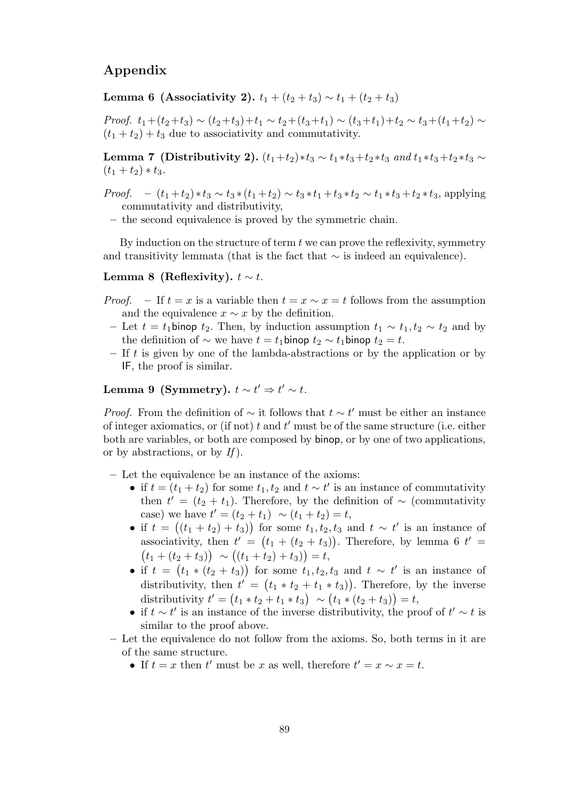## Appendix

Lemma 6 (Associativity 2).  $t_1 + (t_2 + t_3) \sim t_1 + (t_2 + t_3)$ 

*Proof.*  $t_1+(t_2+t_3) \sim (t_2+t_3)+t_1 \sim t_2+(t_3+t_1) \sim (t_3+t_1)+t_2 \sim t_3+(t_1+t_2) \sim$  $(t_1 + t_2) + t_3$  due to associativity and commutativity.

Lemma 7 (Distributivity 2).  $(t_1+t_2)*t_3 \sim t_1*t_3+t_2*t_3$  and  $t_1*t_3+t_2*t_3 \sim t_1*t_2*t_3$  $(t_1 + t_2) * t_3.$ 

- *Proof.*  $(t_1+t_2)*t_3 \sim t_3*(t_1+t_2) \sim t_3*t_1+t_3*t_2 \sim t_1*t_3+t_2*t_3$ , applying commutativity and distributivity,
	- the second equivalence is proved by the symmetric chain.

By induction on the structure of term  $t$  we can prove the reflexivity, symmetry and transitivity lemmata (that is the fact that  $\sim$  is indeed an equivalence).

Lemma 8 (Reflexivity).  $t \sim t$ .

- *Proof.* If  $t = x$  is a variable then  $t = x \sim x = t$  follows from the assumption and the equivalence  $x \sim x$  by the definition.
	- Let  $t = t_1$ binop  $t_2$ . Then, by induction assumption  $t_1 \sim t_1, t_2 \sim t_2$  and by the definition of  $\sim$  we have  $t = t_1$ binop  $t_2 \sim t_1$ binop  $t_2 = t$ .
	- If t is given by one of the lambda-abstractions or by the application or by IF, the proof is similar.

Lemma 9 (Symmetry).  $t \sim t' \Rightarrow t' \sim t$ .

*Proof.* From the definition of  $\sim$  it follows that  $t \sim t'$  must be either an instance of integer axiomatics, or (if not)  $t$  and  $t'$  must be of the same structure (i.e. either both are variables, or both are composed by binop, or by one of two applications, or by abstractions, or by  $If$ ).

– Let the equivalence be an instance of the axioms:

- if  $t = (t_1 + t_2)$  for some  $t_1, t_2$  and  $t \sim t'$  is an instance of commutativity then  $t' = (t_2 + t_1)$ . Therefore, by the definition of ~ (commutativity case) we have  $t' = (t_2 + t_1) \sim (t_1 + t_2) = t$ ,
- if  $t = ((t_1 + t_2) + t_3))$  for some  $t_1, t_2, t_3$  and  $t \sim t'$  is an instance of associativity, then  $t' = (t_1 + (t_2 + t_3))$ . Therefore, by lemma 6  $t' =$  $(t_1 + (t_2 + t_3)) \sim ((t_1 + t_2) + t_3)) = t,$
- if  $t = (t_1 * (t_2 + t_3))$  for some  $t_1, t_2, t_3$  and  $t \sim t'$  is an instance of distributivity, then  $t' = (t_1 * t_2 + t_1 * t_3)$ . Therefore, by the inverse distributivity  $t' = (t_1 * t_2 + t_1 * t_3) \sim (t_1 * (t_2 + t_3)) = t$ ,
- if  $t \sim t'$  is an instance of the inverse distributivity, the proof of  $t' \sim t$  is similar to the proof above.
- Let the equivalence do not follow from the axioms. So, both terms in it are of the same structure.
	- If  $t = x$  then  $t'$  must be x as well, therefore  $t' = x \sim x = t$ .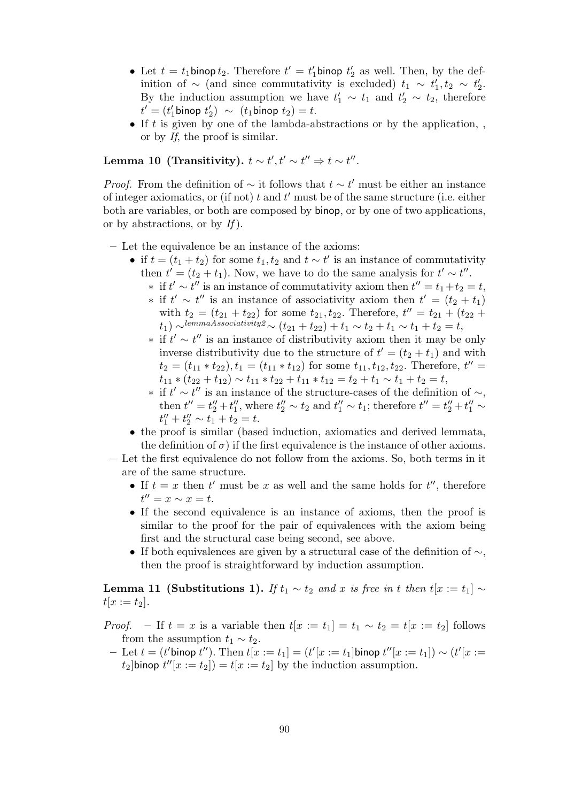- Let  $t = t_1$  binop  $t_2$ . Therefore  $t' = t'_1$  binop  $t'_2$  as well. Then, by the definition of  $\sim$  (and since commutativity is excluded)  $t_1 \sim t_1', t_2 \sim t_2'.$ By the induction assumption we have  $t'_1 \sim t_1$  and  $t'_2 \sim t_2$ , therefore  $t' = (t'_1 \text{binop} t'_2) \sim (t_1 \text{binop} t_2) = t.$
- If t is given by one of the lambda-abstractions or by the application, or by If, the proof is similar.

Lemma 10 (Transitivity).  $t \sim t', t' \sim t'' \Rightarrow t \sim t''.$ 

*Proof.* From the definition of  $\sim$  it follows that  $t \sim t'$  must be either an instance of integer axiomatics, or (if not)  $t$  and  $t'$  must be of the same structure (i.e. either both are variables, or both are composed by binop, or by one of two applications, or by abstractions, or by  $If$ ).

- Let the equivalence be an instance of the axioms:
	- if  $t = (t_1 + t_2)$  for some  $t_1, t_2$  and  $t \sim t'$  is an instance of commutativity then  $t' = (t_2 + t_1)$ . Now, we have to do the same analysis for  $t' \sim t''$ .
		- $\ast$  if  $t' \sim t''$  is an instance of commutativity axiom then  $t'' = t_1 + t_2 = t$ ,
		- $\ast$  if  $t' \sim t''$  is an instance of associativity axiom then  $t' = (t_2 + t_1)$ with  $t_2 = (t_{21} + t_{22})$  for some  $t_{21}, t_{22}$ . Therefore,  $t'' = t_{21} + (t_{22} + t_{23})$  $(t_1) \sim^{lemma. 4s sociativity2} \sim (t_{21} + t_{22}) + t_1 \sim t_2 + t_1 \sim t_1 + t_2 = t,$
		- $\ast$  if  $t' \sim t''$  is an instance of distributivity axiom then it may be only inverse distributivity due to the structure of  $t' = (t_2 + t_1)$  and with  $t_2 = (t_{11} * t_{22}), t_1 = (t_{11} * t_{12})$  for some  $t_{11}, t_{12}, t_{22}$ . Therefore,  $t'' =$  $t_{11} * (t_{22} + t_{12}) \sim t_{11} * t_{22} + t_{11} * t_{12} = t_2 + t_1 \sim t_1 + t_2 = t$ ,
		- $*$  if  $t' \sim t''$  is an instance of the structure-cases of the definition of  $\sim$ , then  $t'' = t''_2 + t''_1$ , where  $t''_2 \sim t_2$  and  $t''_1 \sim t_1$ ; therefore  $t'' = t''_2 + t''_1 \sim$  $t_1'' + t_2'' \sim t_1 + t_2 = t.$
	- the proof is similar (based induction, axiomatics and derived lemmata, the definition of  $\sigma$ ) if the first equivalence is the instance of other axioms.

– Let the first equivalence do not follow from the axioms. So, both terms in it are of the same structure.

- If  $t = x$  then  $t'$  must be x as well and the same holds for  $t''$ , therefore  $t'' = x \sim x = t.$
- If the second equivalence is an instance of axioms, then the proof is similar to the proof for the pair of equivalences with the axiom being first and the structural case being second, see above.
- If both equivalences are given by a structural case of the definition of  $\sim$ , then the proof is straightforward by induction assumption.

Lemma 11 (Substitutions 1). If  $t_1 \sim t_2$  and x is free in t then  $t[x := t_1] \sim$  $t[x := t_2].$ 

- *Proof.* If  $t = x$  is a variable then  $t[x := t_1] = t_1 \sim t_2 = t[x := t_2]$  follows from the assumption  $t_1 \sim t_2$ .
	- $-$  Let  $t = (t'$ binop  $t'')$ . Then  $t[x := t_1] = (t'[x := t_1]$ binop  $t''[x := t_1]) ∼ (t'[x := t_1])$  $t_2$ ]binop  $t''[x := t_2]) = t[x := t_2]$  by the induction assumption.